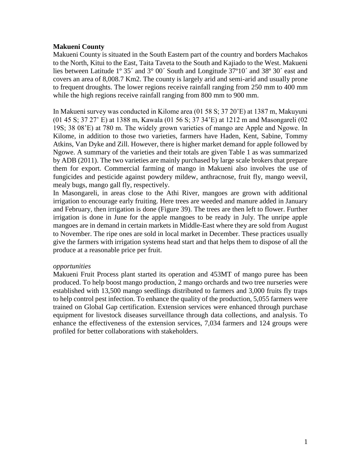## **Makueni County**

Makueni County is situated in the South Eastern part of the country and borders Machakos to the North, Kitui to the East, Taita Taveta to the South and Kajiado to the West. Makueni lies between Latitude 1º 35´ and 3° 00´ South and Longitude 37º10´ and 38º 30´ east and covers an area of 8,008.7 Km2. The county is largely arid and semi-arid and usually prone to frequent droughts. The lower regions receive rainfall ranging from 250 mm to 400 mm while the high regions receive rainfall ranging from 800 mm to 900 mm.

In Makueni survey was conducted in Kilome area (01 58 S; 37 20'E) at 1387 m, Makuyuni (01 45 S; 37 27' E) at 1388 m, Kawala (01 56 S; 37 34'E) at 1212 m and Masongareli (02 19S; 38 08'E) at 780 m. The widely grown varieties of mango are Apple and Ngowe. In Kilome, in addition to those two varieties, farmers have Haden, Kent, Sabine, Tommy Atkins, Van Dyke and Zill. However, there is higher market demand for apple followed by Ngowe. A summary of the varieties and their totals are given Table 1 as was summarized by ADB (2011). The two varieties are mainly purchased by large scale brokers that prepare them for export. Commercial farming of mango in Makueni also involves the use of fungicides and pesticide against powdery mildew, anthracnose, fruit fly, mango weevil, mealy bugs, mango gall fly, respectively.

In Masongareli, in areas close to the Athi River, mangoes are grown with additional irrigation to encourage early fruiting. Here trees are weeded and manure added in January and February, then irrigation is done (Figure 39). The trees are then left to flower. Further irrigation is done in June for the apple mangoes to be ready in July. The unripe apple mangoes are in demand in certain markets in Middle-East where they are sold from August to November. The ripe ones are sold in local market in December. These practices usually give the farmers with irrigation systems head start and that helps them to dispose of all the produce at a reasonable price per fruit.

## *opportunities*

Makueni Fruit Process plant started its operation and 453MT of mango puree has been produced. To help boost mango production, 2 mango orchards and two tree nurseries were established with 13,500 mango seedlings distributed to farmers and 3,000 fruits fly traps to help control pest infection. To enhance the quality of the production, 5,055 farmers were trained on Global Gap certification. Extension services were enhanced through purchase equipment for livestock diseases surveillance through data collections, and analysis. To enhance the effectiveness of the extension services, 7,034 farmers and 124 groups were profiled for better collaborations with stakeholders.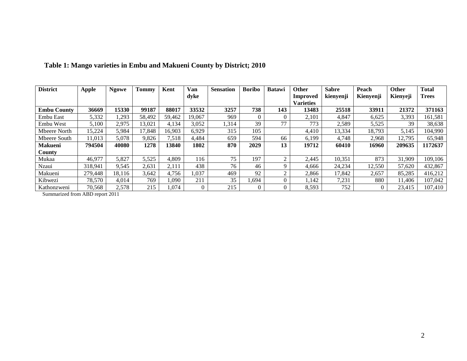| <b>District</b>    | <b>Apple</b> | <b>Ngowe</b> | <b>Tommy</b> | Kent   | Van      | <b>Sensation</b> | <b>Boribo</b> | <b>Batawi</b> | Other            | <b>Sabre</b> | Peach     | <b>Other</b> | <b>Total</b> |
|--------------------|--------------|--------------|--------------|--------|----------|------------------|---------------|---------------|------------------|--------------|-----------|--------------|--------------|
|                    |              |              |              |        | dyke     |                  |               |               | Improved         | kienyenji    | Kienyenji | Kienyeji     | <b>Trees</b> |
|                    |              |              |              |        |          |                  |               |               | <b>Varieties</b> |              |           |              |              |
| <b>Embu County</b> | 36669        | 15330        | 99187        | 88017  | 33532    | 3257             | 738           | 143           | 13483            | 25518        | 33911     | 21372        | 371163       |
| Embu East          | 5,332        | ,293         | 58,492       | 59,462 | 19,067   | 969              | $\Omega$      | $\Omega$      | 2,101            | 4,847        | 6,625     | 3,393        | 161,581      |
| Embu West          | 5,100        | 2,975        | 13,021       | 4,134  | 3,052    | 1,314            | 39            | 77            | 773              | 2,589        | 5,525     | 39           | 38,638       |
| Mbeere North       | 15,224       | 5,984        | 17,848       | 16,903 | 6,929    | 315              | 105           |               | 4,410            | 13,334       | 18,793    | 5,145        | 104,990      |
| Mbeere South       | 11,013       | 5,078        | 9,826        | 7,518  | 4,484    | 659              | 594           | 66            | 6,199            | 4.748        | 2,968     | 12,795       | 65,948       |
| <b>Makueni</b>     | 794504       | 40080        | 1278         | 13840  | 1802     | 870              | 2029          | 13            | 19712            | 60410        | 16960     | 209635       | 1172637      |
| County             |              |              |              |        |          |                  |               |               |                  |              |           |              |              |
| Mukaa              | 46,977       | 5,827        | 5,525        | 4,809  | 116      | 75               | 197           | ◠             | 2,445            | 10,351       | 873       | 31,909       | 109,106      |
| Nzaui              | 318,941      | 9,545        | 2,631        | 2,111  | 438      | 76               | 46            | Q             | 4,666            | 24,234       | 12,550    | 57,620       | 432,867      |
| Makueni            | 279,448      | 18.116       | 3,642        | 4,756  | 1,037    | 469              | 92            | ↑             | 2,866            | 17,842       | 2,657     | 85,285       | 416,212      |
| Kibwezi            | 78,570       | 4,014        | 769          | 1,090  | 211      | 35               | 1,694         | $\theta$      | 1,142            | 7,231        | 880       | 11,406       | 107,042      |
| Kathonzweni        | 70,568       | 2,578        | 215          | l.074  | $\theta$ | 215              |               | 0             | 8,593            | 752          | 0         | 23,415       | 107,410      |

## **Table 1: Mango varieties in Embu and Makueni County by District; 2010**

Summarized from ABD report 2011